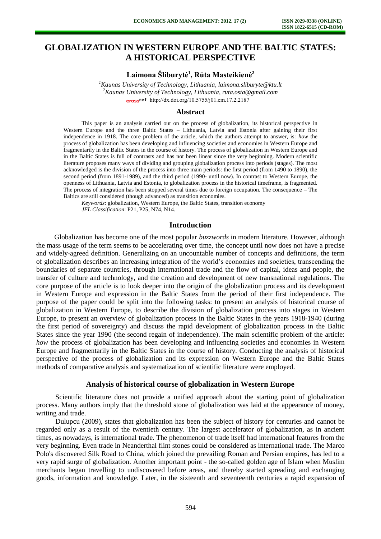# **GLOBALIZATION IN WESTERN EUROPE AND THE BALTIC STATES: A HISTORICAL PERSPECTIVE**

# **Laimona Šliburytė<sup>1</sup> , Rūta Masteikienė<sup>2</sup>**

*<sup>1</sup>Kaunas University of Technology, Lithuania, [laimona.sliburyte@ktu.lt](mailto:laimona.sliburyte@ktu.lt) <sup>2</sup>Kaunas University of Technology, Lithuania, ruta.osta@gmail.com*  cross<sup>ref</sup> [http://dx.doi.org/10.5755/j01.e](http://dx.doi.org/10.5755/j01.em.17.2.2187)m.17.2.2187

#### **Abstract**

This paper is an analysis carried out on the process of globalization, its historical perspective in Western Europe and the three Baltic States – Lithuania, Latvia and Estonia after gaining their first independence in 1918. The core problem of the article, which the authors attempt to answer, is: *how* the process of globalization has been developing and influencing societies and economies in Western Europe and fragmentarily in the Baltic States in the course of history. The process of globalization in Western Europe and in the Baltic States is full of contrasts and has not been linear since the very beginning. Modern scientific literature proposes many ways of dividing and grouping globalization process into periods (stages). The most acknowledged is the division of the process into three main periods: the first period (from 1490 to 1890), the second period (from 1891-1989), and the third period (1990- until now). In contrast to Western Europe, the openness of Lithuania, Latvia and Estonia, to globalization process in the historical timeframe, is fragmented. The process of integration has been stopped several times due to foreign occupation. The consequence – The Baltics are still considered (though advanced) as transition economies.

*Keywords*: globalization, Western Europe, the Baltic States, transition economy *JEL Classification*: P21, P25, N74, N14.

#### **Introduction**

Globalization has become one of the most popular *buzzwords* in modern literature. However, although the mass usage of the term seems to be accelerating over time, the concept until now does not have a precise and widely-agreed definition. Generalizing on an uncountable number of concepts and definitions, the term of globalization describes an increasing integration of the world's economies and societies, transcending the boundaries of separate countries, through international trade and the flow of capital, ideas and people, the transfer of culture and technology, and the creation and development of new transnational regulations. The core purpose of the article is to look deeper into the origin of the globalization process and its development in Western Europe and expression in the Baltic States from the period of their first independence. The purpose of the paper could be split into the following tasks: to present an analysis of historical course of globalization in Western Europe, to describe the division of globalization process into stages in Western Europe, to present an overview of globalization process in the Baltic States in the years 1918-1940 (during the first period of sovereignty) and discuss the rapid development of globalization process in the Baltic States since the year 1990 (the second regain of independence). The main scientific problem of the article: *how* the process of globalization has been developing and influencing societies and economies in Western Europe and fragmentarily in the Baltic States in the course of history. Conducting the analysis of historical perspective of the process of globalization and its expression on Western Europe and the Baltic States methods of comparative analysis and systematization of scientific literature were employed.

#### **Analysis of historical course of globalization in Western Europe**

Scientific literature does not provide a unified approach about the starting point of globalization process. Many authors imply that the threshold stone of globalization was laid at the appearance of money, writing and trade.

Dulupcu (2009), states that globalization has been the subject of history for centuries and cannot be regarded only as a result of the twentieth century. The largest accelerator of globalization, as in ancient times, as nowadays, is international trade. The phenomenon of trade itself had international features from the very beginning. Even trade in Neanderthal flint stones could be considered as international trade. The Marco Polo's discovered Silk Road to China, which joined the prevailing Roman and Persian empires, has led to a very rapid surge of globalization. Another important point - the so-called golden age of Islam when Muslim merchants began travelling to undiscovered before areas, and thereby started spreading and exchanging goods, information and knowledge. Later, in the sixteenth and seventeenth centuries a rapid expansion of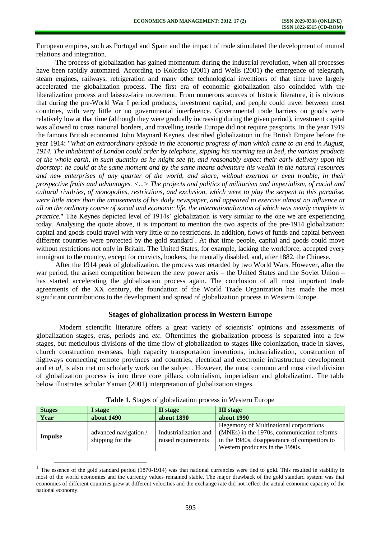European empires, such as Portugal and Spain and the impact of trade stimulated the development of mutual relations and integration.

The process of globalization has gained momentum during the industrial revolution, when all processes have been rapidly automated. According to Kolodko (2001) and Wells (2001) the emergence of telegraph, steam engines, railways, refrigeration and many other technological inventions of that time have largely accelerated the globalization process. The first era of economic globalization also coincided with the liberalization process and laissez-faire movement. From numerous sources of historic literature, it is obvious that during the pre-World War I period products, investment capital, and people could travel between most countries, with very little or no governmental interference. Governmental trade barriers on goods were relatively low at that time (although they were gradually increasing during the given period), investment capital was allowed to cross national borders, and travelling inside Europe did not require passports. In the year 1919 the famous British economist John Maynard Keynes, described globalization in the British Empire before the year 1914: "*What an extraordinary episode in the economic progress of man which came to an end in August, 1914. The inhabitant of London could order by telephone, sipping his morning tea in bed, the various products of the whole earth, in such quantity as he might see fit, and reasonably expect their early delivery upon his doorstep: he could at the same moment and by the same means adventure his wealth in the natural resources and new enterprises of any quarter of the world, and share, without exertion or even trouble, in their prospective fruits and advantages. <...> The projects and politics of militarism and imperialism, of racial and cultural rivalries, of monopolies, restrictions, and exclusion, which were to play the serpent to this paradise, were little more than the amusements of his daily newspaper, and appeared to exercise almost no influence at all on the ordinary course of social and economic life, the internationalization of which was nearly complete in practice.*" The Keynes depicted level of 1914s' globalization is very similar to the one we are experiencing today. Analysing the quote above, it is important to mention the two aspects of the pre-1914 globalization: capital and goods could travel with very little or no restrictions. In addition, flows of funds and capital between different countries were protected by the gold standard<sup>1</sup>. At that time people, capital and goods could move without restrictions not only in Britain. The United States, for example, lacking the workforce, accepted every immigrant to the country, except for convicts, hookers, the mentally disabled, and, after 1882, the Chinese.

After the 1914 peak of globalization, the process was retarded by two World Wars. However, after the war period, the arisen competition between the new power axis – the United States and the Soviet Union – has started accelerating the globalization process again. The conclusion of all most important trade agreements of the XX century, the foundation of the World Trade Organization has made the most significant contributions to the development and spread of globalization process in Western Europe.

#### **Stages of globalization process in Western Europe**

Modern scientific literature offers a great variety of scientists' opinions and assessments of globalization stages, eras, periods and *etc.* Oftentimes the globalization process is separated into a few stages, but meticulous divisions of the time flow of globalization to stages like colonization, trade in slaves, church construction overseas, high capacity transportation inventions, industrialization, construction of highways connecting remote provinces and countries, electrical and electronic infrastructure development and *et al*, is also met on scholarly work on the subject. However, the most common and most cited division of globalization process is into three core pillars: colonialism, imperialism and globalization. The table below illustrates scholar Yaman (2001) interpretation of globalization stages.

| <b>Stages</b> | I stage                                   | II stage                                     | <b>III</b> stage                                                                                                                                                                |  |
|---------------|-------------------------------------------|----------------------------------------------|---------------------------------------------------------------------------------------------------------------------------------------------------------------------------------|--|
| Year          | about 1490                                | about 1890                                   | about 1990                                                                                                                                                                      |  |
| Impulse       | advanced navigation /<br>shipping for the | Industrialization and<br>raised requirements | <b>Hegemony of Multinational corporations</b><br>(MNEs) in the 1970s, communication reforms<br>in the 1980s, disappearance of competitors to<br>Western producers in the 1990s. |  |

**Table 1.** Stages of globalization process in Western Europe

l

<sup>&</sup>lt;sup>1</sup> The essence of the gold standard period (1870-1914) was that national currencies were tied to gold. This resulted in stability in most of the world economies and the currency values remained stable. The major drawback of the gold standard system was that economies of different countries grew at different velocities and the exchange rate did not reflect the actual economic capacity of the national economy.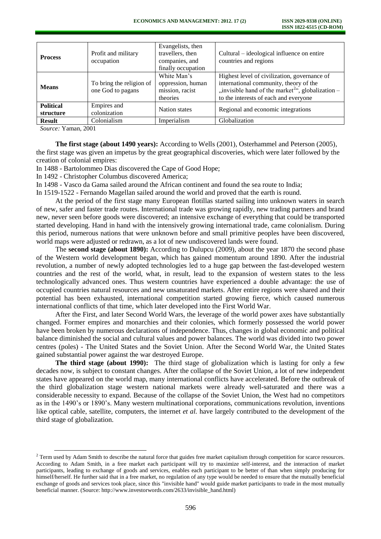| <b>Process</b>                | Profit and military<br>occupation             | Evangelists, then<br>travellers, then<br>companies, and<br>finally occupation | Cultural – ideological influence on entire<br>countries and regions                                                                                                                              |  |
|-------------------------------|-----------------------------------------------|-------------------------------------------------------------------------------|--------------------------------------------------------------------------------------------------------------------------------------------------------------------------------------------------|--|
| <b>Means</b>                  | To bring the religion of<br>one God to pagans | White Man's<br>oppression, human<br>mission, racist<br>theories               | Highest level of civilization, governance of<br>international community, theory of the<br>"invisible hand of the market <sup>2</sup> ", globalization –<br>to the interests of each and everyone |  |
| <b>Political</b><br>structure | Empires and<br>colonization                   | Nation states                                                                 | Regional and economic integrations                                                                                                                                                               |  |
| <b>Result</b>                 | Colonialism                                   | Imperialism                                                                   | Globalization                                                                                                                                                                                    |  |

*Source:* Yaman, 2001

l

**The first stage (about 1490 years):** According to Wells (2001), Osterhammel and Peterson (2005), the first stage was given an impetus by the great geographical discoveries, which were later followed by the creation of colonial empires:

In 1488 - Bartolommeo Dias discovered the Cape of Good Hope;

In 1492 - Christopher Columbus discovered America;

In 1498 - Vasco da Gama sailed around the African continent and found the sea route to India;

In 1519-1522 - Fernando Magellan sailed around the world and proved that the earth is round.

At the period of the first stage many European flotillas started sailing into unknown waters in search of new, safer and faster trade routes. International trade was growing rapidly, new trading partners and brand new, never seen before goods were discovered; an intensive exchange of everything that could be transported started developing. Hand in hand with the intensively growing international trade, came colonialism. During this period, numerous nations that were unknown before and small primitive peoples have been discovered, world maps were adjusted or redrawn, as a lot of new undiscovered lands were found.

The **second stage (about 1890):** According to Dulupcu (2009), about the year 1870 the second phase of the Western world development began, which has gained momentum around 1890. After the industrial revolution, a number of newly adopted technologies led to a huge gap between the fast-developed western countries and the rest of the world, what, in result, lead to the expansion of western states to the less technologically advanced ones. Thus western countries have experienced a double advantage: the use of occupied countries natural resources and new unsaturated markets. After entire regions were shared and their potential has been exhausted, international competition started growing fierce, which caused numerous international conflicts of that time, which later developed into the First World War.

After the First, and later Second World Wars, the leverage of the world power axes have substantially changed. Former empires and monarchies and their colonies, which formerly possessed the world power have been broken by numerous declarations of independence. Thus, changes in global economic and political balance diminished the social and cultural values and power balances. The world was divided into two power centres (poles) - The United States and the Soviet Union. After the Second World War, the United States gained substantial power against the war destroyed Europe.

**The third stage (about 1990):** The third stage of globalization which is lasting for only a few decades now, is subject to constant changes. After the collapse of the Soviet Union, a lot of new independent states have appeared on the world map, many international conflicts have accelerated. Before the outbreak of the third globalization stage western national markets were already well-saturated and there was a considerable necessity to expand. Because of the collapse of the Soviet Union, the West had no competitors as in the 1490's or 1890's. Many western multinational corporations, communications revolution, inventions like optical cable, satellite, computers, the internet *et al.* have largely contributed to the development of the third stage of globalization.

<sup>&</sup>lt;sup>2</sup> Term used by [Adam Smith t](http://www.investorwords.com/7751/Adam_Smith.html)o describe the natural force that guides [free market](http://www.investorwords.com/2086/free_market.html) [capitalism](http://www.investorwords.com/713/capitalism.html) throug[h competition f](http://www.investorwords.com/5467/competition.html)or scarce resources. [According to](http://www.investorwords.com/8751/according_to.html) Adam Smith, in a free [market](http://www.investorwords.com/2962/market.html) each participant will try to maximize self-interest, and the interaction of market participants, leading to [exchange](http://www.investorwords.com/1797/exchange.html) of [goods](http://www.investorwords.com/2209/goods.html) and [services,](http://www.investorwords.com/6664/service.html) enables each participant to be better of than when simply producing for himself/herself. He further said that in a free market, no [regulation o](http://www.investorwords.com/5950/regulation.html)f any type would be needed to [ensure t](http://www.investorwords.com/1709/ensure.html)hat the mutually beneficial exchange of goods and services took place, since this "invisible hand" would guide market participants to [trade in](http://www.investorwords.com/14909/trade_in.html) the most mutually beneficial manner. (Source: http://www.investorwords.com/2633/invisible\_hand.html)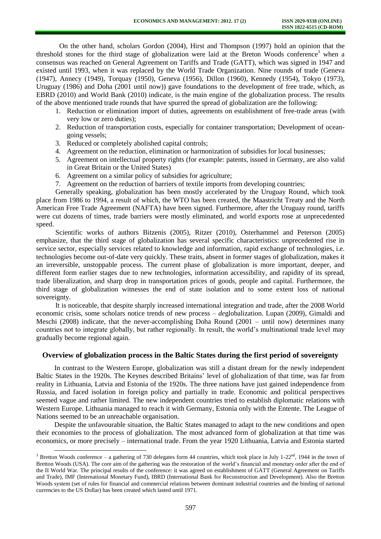On the other hand, scholars Gordon (2004), Hirst and Thompson (1997) hold an opinion that the threshold stones for the third stage of globalization were laid at the Breton Woods conference<sup>3</sup> when a consensus was reached on General Agreement on Tariffs and Trade (GATT), which was signed in 1947 and existed until 1993, when it was replaced by the World Trade Organization. Nine rounds of trade (Geneva (1947), Annecy (1949), Torquay (1950), Geneva (1956), Dillon (1960), Kennedy (1954), Tokyo (1973), Uruguay (1986) and Doha (2001 until now)) gave foundations to the development of free trade, which, as EBRD (2010) and World Bank (2010) indicate, is the main engine of the globalization process. The results of the above mentioned trade rounds that have spurred the spread of globalization are the following:

- 1. Reduction or elimination import of duties, agreements on establishment of free-trade areas (with very low or zero duties);
- 2. Reduction of transportation costs, especially for container transportation; Development of oceangoing vessels;
- 3. Reduced or completely abolished capital controls;

l

- 4. Agreement on the reduction, elimination or harmonization of subsidies for local businesses;
- 5. Agreement on intellectual property rights (for example: patents, issued in Germany, are also valid in Great Britain or the United States)
- 6. Agreement on a similar policy of subsidies for agriculture;
- 7. Agreement on the reduction of barriers of textile imports from developing countries;

Generally speaking, globalization has been mostly accelerated by the Uruguay Round, which took place from 1986 to 1994, a result of which, the WTO has been created, the Maastricht Treaty and the North American Free Trade Agreement (NAFTA) have been signed. Furthermore, after the Uruguay round, tariffs were cut dozens of times, trade barriers were mostly eliminated, and world exports rose at unprecedented speed.

Scientific works of authors Bitzenis (2005), Ritzer (2010), Osterhammel and Peterson (2005) emphasize, that the third stage of globalization has several specific characteristics: unprecedented rise in service sector, especially services related to knowledge and information, rapid exchange of technologies, i.e. technologies become out-of-date very quickly. These traits, absent in former stages of globalization, makes it an irreversible, unstoppable process. The current phase of globalization is more important, deeper, and different form earlier stages due to new technologies, information accessibility, and rapidity of its spread, trade liberalization, and sharp drop in transportation prices of goods, people and capital. Furthermore, the third stage of globalization witnesses the end of state isolation and to some extent loss of national sovereignty.

It is noticeable, that despite sharply increased international integration and trade, after the 2008 World economic crisis, some scholars notice trends of new process – *de*globalization. Lupan (2009), Gimaldi and Meschi (2008) indicate, that the never-accomplishing Doha Round (2001 – until now) determines many countries not to integrate globally, but rather regionally. In result, the world's multinational trade level may gradually become regional again.

### **Overview of globalization process in the Baltic States during the first period of sovereignty**

In contrast to the Western Europe, globalization was still a distant dream for the newly independent Baltic States in the 1920s. The Keynes described Britains' level of globalization of that time, was far from reality in Lithuania, Latvia and Estonia of the 1920s. The three nations have just gained independence from Russia, and faced isolation in foreign policy and partially in trade. Economic and political perspectives seemed vague and rather limited. The new independent countries tried to establish diplomatic relations with Western Europe. Lithuania managed to reach it with Germany, Estonia only with the Entente. The League of Nations seemed to be an unreachable organisation.

Despite the unfavourable situation, the Baltic States managed to adapt to the new conditions and open their economies to the process of globalization. The most advanced form of globalization at that time was economics, or more precisely – international trade. From the year 1920 Lithuania, Latvia and Estonia started

<sup>&</sup>lt;sup>3</sup> Bretton Woods conference – a gathering of 730 delegates form 44 countries, which took place in July 1-22<sup>nd</sup>, 1944 in the town of Bretton Woods (USA). The core aim of the gathering was the restoration of the world's financial and monetary order after the end of the II World War. The principal results of the conference: it was agreed on establishment of GATT (General Agreement on Tariffs and Trade), IMF (International Monetary Fund), IBRD (International Bank for Reconstruction and Development). Also the Bretton Woods system (set of rules for financial and commercial relations between dominant industrial countries and the binding of national currencies to the US Dollar) has been created which lasted until 1971.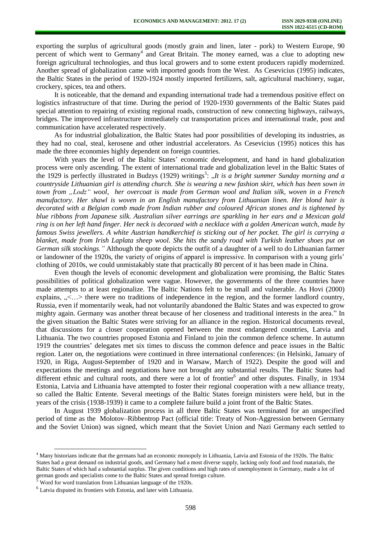exporting the surplus of agricultural goods (mostly grain and linen, later - pork) to Western Europe, 90 percent of which went to Germany<sup>4</sup> and Great Britain. The money earned, was a clue to adopting new foreign agricultural technologies, and thus local growers and to some extent producers rapidly modernized. Another spread of globalization came with imported goods from the West. As Cesevicius (1995) indicates, the Baltic States in the period of 1920-1924 mostly imported fertilizers, salt, agricultural machinery, sugar, crockery, spices, tea and others.

It is noticeable, that the demand and expanding international trade had a tremendous positive effect on logistics infrastructure of that time. During the period of 1920-1930 governments of the Baltic States paid special attention to repairing of existing regional roads, construction of new connecting highways, railways, bridges. The improved infrastructure immediately cut transportation prices and international trade, post and communication have accelerated respectively.

As for industrial globalization, the Baltic States had poor possibilities of developing its industries, as they had no coal, steal, kerosene and other industrial accelerators. As Cesevicius (1995) notices this has made the three economies highly dependent on foreign countries.

With years the level of the Baltic States' economic development, and hand in hand globalization process were only ascending. The extent of international trade and globalization level in the Baltic States of the 1929 is perfectly illustrated in Budzys (1929) writings<sup>5</sup>: "*It is a bright summer Sunday morning and a countryside Lithuanian girl is attending church. She is wearing a new fashion skirt, which has been sown in town from "Lodz" wool, her overcoat is made from German wool and Italian silk, woven in a French manufactory. Her shawl is woven in an English manufactory from Lithuanian linen. Her blond hair is decorated with a Belgian comb made from Indian rubber and coloured African stones and is tightened by blue ribbons from Japanese silk. Australian silver earrings are sparkling in her ears and a Mexican gold ring is on her left hand finger. Her neck is decoraed with a necklace with a golden American watch, made by famous Swiss jewellers. A white Austrian handkerchief is sticking out of her pocket. The girl is carrying a blanket, made from Irish Laplata sheep wool. She hits the sandy road with Turkish leather shoes put on German silk stockings."* Although the quote depicts the outfit of a daughter of a well to do Lithuanian farmer or landowner of the 1920s, the variety of origins of apparel is impressive. In comparison with a young girls' clothing of 2010s, we could unmistakably state that practically 80 percent of it has been made in China.

Even though the levels of economic development and globalization were promising, the Baltic States possibilities of political globalization were vague. However, the governments of the three countries have made attempts to at least regionalize. The Baltic Nations felt to be small and vulnerable. As Hovi (2000) explains,  $\alpha$ ,  $\leq$ ...> there were no traditions of independence in the region, and the former landlord country, Russia, even if momentarily weak, had not voluntarily abandoned the Baltic States and was expected to grow mighty again. Germany was another threat because of her closeness and traditional interests in the area." In the given situation the Baltic States were striving for an alliance in the region. Historical documents reveal, that discussions for a closer cooperation opened between the most endangered countries, Latvia and Lithuania. The two countries proposed Estonia and Finland to join the common defence scheme. In autumn 1919 the countries' delegates met six times to discuss the common defence and peace issues in the Baltic region. Later on, the negotiations were continued in three international conferences: (in Helsinki, January of 1920, in Riga, August-September of 1920 and in Warsaw, March of 1922). Despite the good will and expectations the meetings and negotiations have not brought any substantial results. The Baltic States had different ethnic and cultural roots, and there were a lot of frontier<sup>6</sup> and other disputes. Finally, in 1934 Estonia, Latvia and Lithuania have attempted to foster their regional cooperation with a new alliance treaty, so called the Baltic Entente. Several meetings of the Baltic States foreign ministers were held, but in the years of the crisis (1938-1939) it came to a complete failure build a joint front of the Baltic States.

In August 1939 globalization process in all three Baltic States was terminated for an unspecified period of time as the Molotov–Ribbentrop Pact (official title: Treaty of Non-Aggression between Germany and the Soviet Union) was signed, which meant that the [Soviet Union](http://en.wikipedia.org/wiki/Soviet_Union) and [Nazi Germany](http://en.wikipedia.org/wiki/Nazi_Germany) each settled to

l

<sup>&</sup>lt;sup>4</sup> Many historians indicate that the germans had an economic monopoly in Lithuania, Latvia and Estonia of the 1920s. The Baltic States had a great demand on industrial goods, and Germany had a most diverse supply, lacking only food and food matarials, the Baltic States of which had a substantial surplus. The given conditions and high rates of unemployment in Germany, made a lot of german goods and specialists come to the Baltic States and spread foreign culture.

<sup>5</sup> Word for word translation from Lithuanian language of the 1920s.

<sup>6</sup> Latvia disputed its frontiers with Estonia, and later with Lithuania.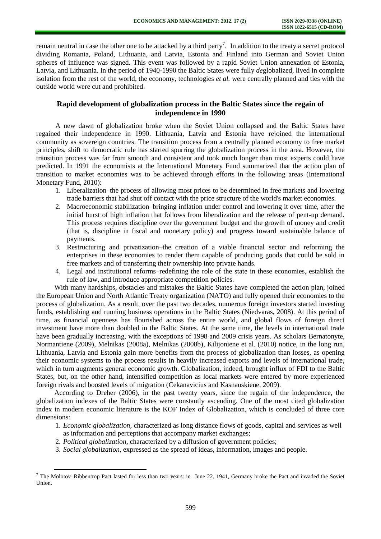remain [neutral](http://en.wikipedia.org/wiki/Neutrality_(international_relations)) in case the other one to be attacked by a third party<sup>7</sup>. In addition to the treaty a secret protocol dividing Romania, Poland, Lithuania, and Latvia, Estonia and Finland into German and Soviet Union spheres of influence was signed. This event was followed by a rapid Soviet Union annexation of [Estonia,](http://en.wikipedia.org/wiki/Estonia) [Latvia,](http://en.wikipedia.org/wiki/Latvia) [and Lithuania.](http://en.wikipedia.org/wiki/Lithuania) In the period of 1940-1990 the Baltic States were fully *de*globalized, lived in complete isolation from the rest of the world, the economy, technologies *et al.* were centrally planned and ties with the outside world were cut and prohibited.

# **Rapid development of globalization process in the Baltic States since the regain of independence in 1990**

A new dawn of globalization broke when the Soviet Union collapsed and the Baltic States have regained their independence in 1990. Lithuania, Latvia and Estonia have rejoined the international community as sovereign countries. The transition process from a centrally planned economy to free market principles, shift to democratic rule has started spurring the globalization process in the area. However, the transition process was far from smooth and consistent and took much longer than most experts could have predicted. In 1991 the economists at the International Monetary Fund summarized that the action plan of transition to market economies was to be achieved through efforts in the following areas (International Monetary Fund, 2010):

- 1. Liberalization–the process of allowing most prices to be determined in free markets and lowering trade barriers that had shut off contact with the price structure of the world's market economies.
- 2. Macroeconomic stabilization–bringing inflation under control and lowering it over time, after the initial burst of high inflation that follows from liberalization and the release of pent-up demand. This process requires discipline over the government budget and the growth of money and credit (that is, discipline in fiscal and monetary policy) and progress toward sustainable balance of payments.
- 3. Restructuring and privatization–the creation of a viable financial sector and reforming the enterprises in these economies to render them capable of producing goods that could be sold in free markets and of transferring their ownership into private hands.
- 4. Legal and institutional reforms–redefining the role of the state in these economies, establish the rule of law, and introduce appropriate competition policies.

With many hardships, obstacles and mistakes the Baltic States have completed the action plan, joined the European Union and North Atlantic Treaty organization (NATO) and fully opened their economies to the process of globalization. As a result, over the past two decades, numerous foreign investors started investing funds, establishing and running business operations in the Baltic States (Niedvaras, 2008). At this period of time, as financial openness has flourished across the entire world, and global flows of foreign direct investment have more than doubled in the Baltic States. At the same time, the levels in international trade have been gradually increasing, with the exceptions of 1998 and 2009 crisis years. As scholars Bernatonyte, Normantiene (2009), Melnikas (2008a), Melnikas (2008b), Kilijoniene et al. (2010) notice, in the long run, Lithuania, Latvia and Estonia gain more benefits from the process of globalization than losses, as opening their economic systems to the process results in heavily increased exports and levels of international trade, which in turn augments general economic growth. Globalization, indeed, brought influx of FDI to the Baltic States, but, on the other hand, intensified competition as local markets were entered by more experienced foreign rivals and boosted levels of migration (Cekanavicius and Kasnauskiene, 2009).

According to Dreher (2006), in the past twenty years, since the regain of the independence, the globalization indexes of the Baltic States were constantly ascending. One of the most cited globalization index in modern economic literature is the KOF Index of Globalization, which is concluded of three core dimensions:

- 1. *Economic globalization*, characterized as long distance flows of goods, capital and services as well as information and perceptions that accompany market exchanges;
- 2. *Political globalization*, characterized by a diffusion of government policies;

l

3. *Social globalization*, expressed as the spread of ideas, information, images and people.

<sup>&</sup>lt;sup>7</sup> The Molotov–Ribbentrop Pact lasted for less than two years: in June 22, 1941, Germany broke the Pact and invaded the Soviet [Union.](http://en.wikipedia.org/wiki/Operation_Barbarossa)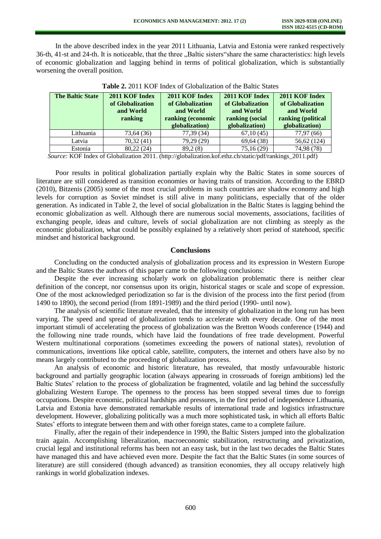In the above described index in the year 2011 Lithuania, Latvia and Estonia were ranked respectively 36-th, 41-st and 24-th. It is noticeable, that the three "Baltic sisters"share the same characteristics: high levels of economic globalization and lagging behind in terms of political globalization, which is substantially worsening the overall position.

| <b>The Baltic State</b> | 2011 KOF Index<br>of Globalization<br>and World<br>ranking | 2011 KOF Index<br>of Globalization<br>and World<br>ranking (economic<br>globalization) | 2011 KOF Index<br>of Globalization<br>and World<br>ranking (social<br>globalization) | 2011 KOF Index<br>of Globalization<br>and World<br>ranking (political<br>globalization) |
|-------------------------|------------------------------------------------------------|----------------------------------------------------------------------------------------|--------------------------------------------------------------------------------------|-----------------------------------------------------------------------------------------|
| Lithuania               | 73,64 (36)                                                 | 77,39 (34)                                                                             | 67,10(45)                                                                            | 77,97 (66)                                                                              |
| Latvia                  | 70,32 (41)                                                 | 79,29 (29)                                                                             | 69,64 (38)                                                                           | 56,62 (124)                                                                             |
| Estonia                 | 80,22 (24)                                                 | 89,2(8)                                                                                | 75,16 (29)                                                                           | 74,98 (78)                                                                              |

**Table 2.** 2011 KOF Index of Globalization of the Baltic States

*Source:* KOF Index of Globalization 2011. (http://globalization.kof.ethz.ch/static/pdf/rankings\_2011.pdf)

Poor results in political globalization partially explain why the Baltic States in some sources of literature are still considered as transition economies or having traits of transition. According to the EBRD (2010), Bitzenis (2005) some of the most crucial problems in such countries are shadow economy and high levels for corruption as Soviet mindset is still alive in many politicians, especially that of the older generation. As indicated in Table 2, the level of social globalization in the Baltic States is lagging behind the economic globalization as well. Although there are numerous social movements, associations, facilities of exchanging people, ideas and culture, levels of social globalization are not climbing as steeply as the economic globalization, what could be possibly explained by a relatively short period of statehood, specific mindset and historical background.

# **Conclusions**

Concluding on the conducted analysis of globalization process and its expression in Western Europe and the Baltic States the authors of this paper came to the following conclusions:

Despite the ever increasing scholarly work on globalization problematic there is neither clear definition of the concept, nor consensus upon its origin, historical stages or scale and scope of expression. One of the most acknowledged periodization so far is the division of the process into the first period (from 1490 to 1890), the second period (from 1891-1989) and the third period (1990- until now).

The analysis of scientific literature revealed, that the intensity of globalization in the long run has been varying. The speed and spread of globalization tends to accelerate with every decade. One of the most important stimuli of accelerating the process of globalization was the Bretton Woods conference (1944) and the following nine trade rounds, which have laid the foundations of free trade development. Powerful Western multinational corporations (sometimes exceeding the powers of national states), revolution of communications, inventions like optical cable, satellite, computers, the internet and others have also by no means largely contributed to the proceeding of globalization process.

An analysis of economic and historic literature, has revealed, that mostly unfavourable historic background and partially geographic location (always appearing in crossroads of foreign ambitions) led the Baltic States' relation to the process of globalization be fragmented, volatile and lag behind the successfully globalizing Western Europe. The openness to the process has been stopped several times due to foreign occupations. Despite economic, political hardships and pressures, in the first period of independence Lithuania, Latvia and Estonia have demonstrated remarkable results of international trade and logistics infrastructure development. However, globalizing politically was a much more sophisticated task, in which all efforts Baltic States' efforts to integrate between them and with other foreign states, came to a complete failure.

Finally, after the regain of their independence in 1990, the Baltic Sisters jumped into the globalization train again. Accomplishing liberalization, macroeconomic stabilization, restructuring and privatization, crucial legal and institutional reforms has been not an easy task, but in the last two decades the Baltic States have managed this and have achieved even more. Despite the fact that the Baltic States (in some sources of literature) are still considered (though advanced) as transition economies, they all occupy relatively high rankings in world globalization indexes.